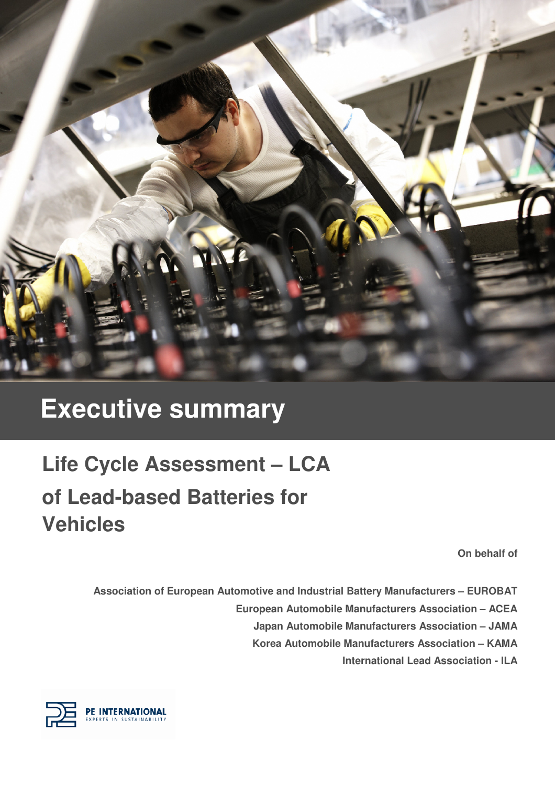

## **Executive summary**

# **Life Cycle Assessment – LCA of Lead-based Batteries for Vehicles**

**On behalf of** 

**Association of European Automotive and Industrial Battery Manufacturers – EUROBAT European Automobile Manufacturers Association – ACEA Japan Automobile Manufacturers Association – JAMA Korea Automobile Manufacturers Association – KAMA International Lead Association - ILA** 

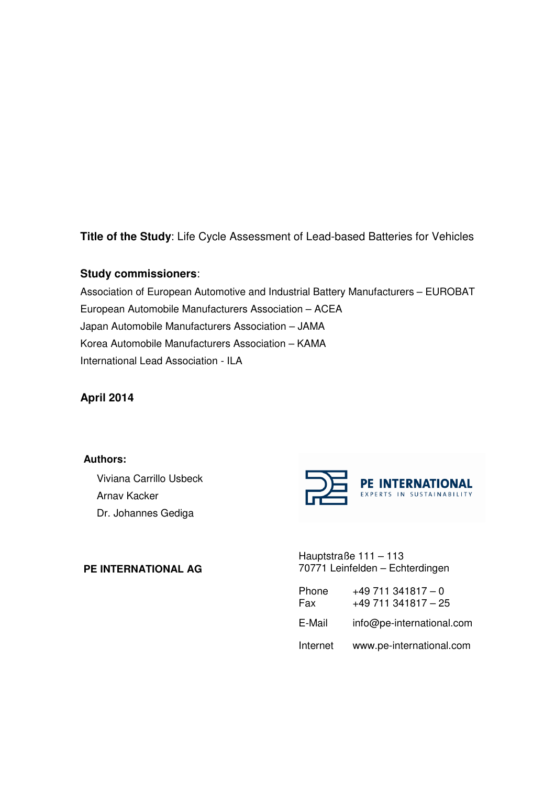**Title of the Study**: Life Cycle Assessment of Lead-based Batteries for Vehicles

## **Study commissioners**:

Association of European Automotive and Industrial Battery Manufacturers – EUROBAT European Automobile Manufacturers Association – ACEA Japan Automobile Manufacturers Association – JAMA Korea Automobile Manufacturers Association – KAMA International Lead Association - ILA

**April 2014** 

**Authors:** 

Viviana Carrillo Usbeck Arnav Kacker Dr. Johannes Gediga



**PE INTERNATIONAL AG** 

Hauptstraße 111 – 113 70771 Leinfelden – Echterdingen

| Phone<br>Fax | $+49711341817 - 0$<br>$+49$ 711 341817 - 25 |
|--------------|---------------------------------------------|
| E-Mail       | info@pe-international.com                   |
| Internet     | www.pe-international.com                    |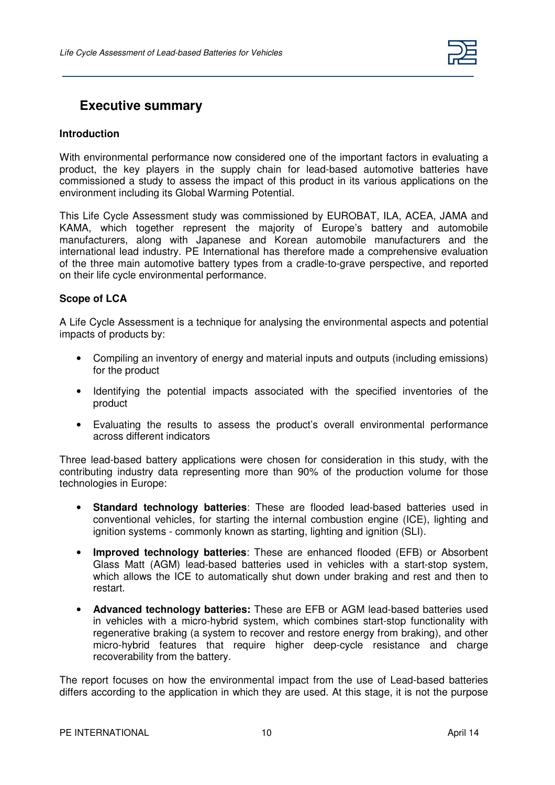

## **Executive summary**

### **Introduction**

With environmental performance now considered one of the important factors in evaluating a product, the key players in the supply chain for lead-based automotive batteries have commissioned a study to assess the impact of this product in its various applications on the environment including its Global Warming Potential.

This Life Cycle Assessment study was commissioned by EUROBAT, ILA, ACEA, JAMA and KAMA, which together represent the majority of Europe's battery and automobile manufacturers, along with Japanese and Korean automobile manufacturers and the international lead industry. PE International has therefore made a comprehensive evaluation of the three main automotive battery types from a cradle-to-grave perspective, and reported on their life cycle environmental performance.

#### **Scope of LCA**

A Life Cycle Assessment is a technique for analysing the environmental aspects and potential impacts of products by:

- Compiling an inventory of energy and material inputs and outputs (including emissions) for the product
- Identifying the potential impacts associated with the specified inventories of the product
- Evaluating the results to assess the product's overall environmental performance across different indicators

Three lead-based battery applications were chosen for consideration in this study, with the contributing industry data representing more than 90% of the production volume for those technologies in Europe:

- **Standard technology batteries**: These are flooded lead-based batteries used in conventional vehicles, for starting the internal combustion engine (ICE), lighting and ignition systems - commonly known as starting, lighting and ignition (SLI).
- **Improved technology batteries**: These are enhanced flooded (EFB) or Absorbent Glass Matt (AGM) lead-based batteries used in vehicles with a start-stop system, which allows the ICE to automatically shut down under braking and rest and then to restart.
- **Advanced technology batteries:** These are EFB or AGM lead-based batteries used in vehicles with a micro-hybrid system, which combines start-stop functionality with regenerative braking (a system to recover and restore energy from braking), and other micro-hybrid features that require higher deep-cycle resistance and charge recoverability from the battery.

The report focuses on how the environmental impact from the use of Lead-based batteries differs according to the application in which they are used. At this stage, it is not the purpose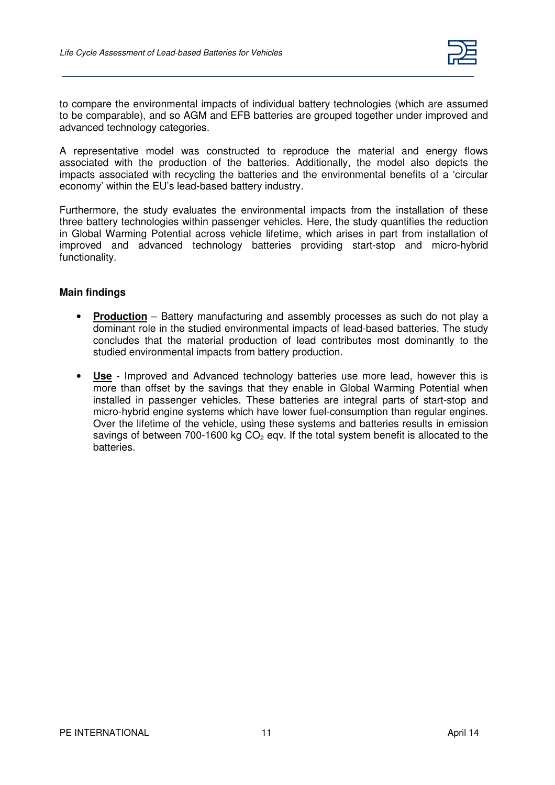

to compare the environmental impacts of individual battery technologies (which are assumed to be comparable), and so AGM and EFB batteries are grouped together under improved and advanced technology categories.

A representative model was constructed to reproduce the material and energy flows associated with the production of the batteries. Additionally, the model also depicts the impacts associated with recycling the batteries and the environmental benefits of a 'circular economy' within the EU's lead-based battery industry.

Furthermore, the study evaluates the environmental impacts from the installation of these three battery technologies within passenger vehicles. Here, the study quantifies the reduction in Global Warming Potential across vehicle lifetime, which arises in part from installation of improved and advanced technology batteries providing start-stop and micro-hybrid functionality.

### **Main findings**

- **Production** Battery manufacturing and assembly processes as such do not play a dominant role in the studied environmental impacts of lead-based batteries. The study concludes that the material production of lead contributes most dominantly to the studied environmental impacts from battery production.
- **Use** Improved and Advanced technology batteries use more lead, however this is more than offset by the savings that they enable in Global Warming Potential when installed in passenger vehicles. These batteries are integral parts of start-stop and micro-hybrid engine systems which have lower fuel-consumption than regular engines. Over the lifetime of the vehicle, using these systems and batteries results in emission savings of between 700-1600 kg  $CO<sub>2</sub>$  eqv. If the total system benefit is allocated to the batteries.